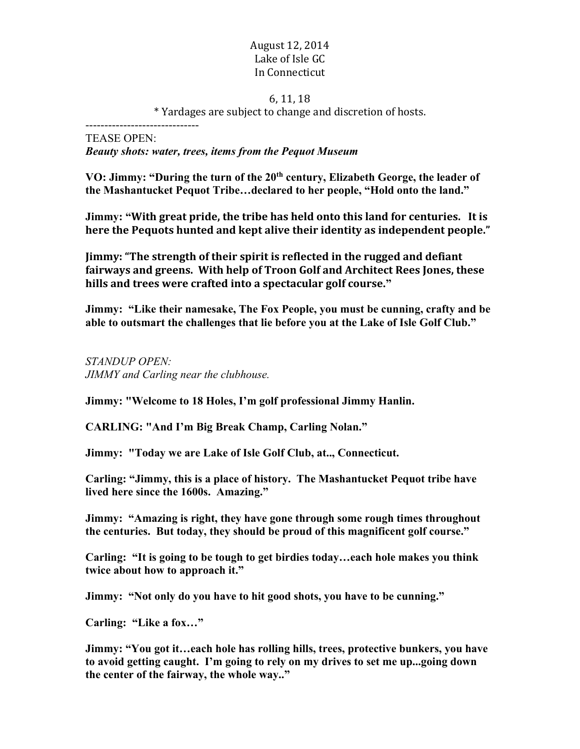### August 12, 2014 Lake of Isle GC In Connecticut

#### 6, 11, 18

\* Yardages are subject to change and discretion of hosts.

------------------------------ TEASE OPEN:

*Beauty shots: water, trees, items from the Pequot Museum*

VO: Jimmy: "During the turn of the 20<sup>th</sup> century, Elizabeth George, the leader of **the Mashantucket Pequot Tribe…declared to her people, "Hold onto the land."**

**Jimmy: "With great pride, the tribe has held onto this land for centuries. It is here** the Pequots hunted and kept alive their identity as independent people."

**Jimmy: "The strength of their spirit is reflected in the rugged and defiant** fairways and greens. With help of Troon Golf and Architect Rees Jones, these hills and trees were crafted into a spectacular golf course."

**Jimmy: "Like their namesake, The Fox People, you must be cunning, crafty and be able to outsmart the challenges that lie before you at the Lake of Isle Golf Club."**

*STANDUP OPEN: JIMMY and Carling near the clubhouse.*

**Jimmy: "Welcome to 18 Holes, I'm golf professional Jimmy Hanlin.**

**CARLING: "And I'm Big Break Champ, Carling Nolan."**

**Jimmy: "Today we are Lake of Isle Golf Club, at.., Connecticut.**

**Carling: "Jimmy, this is a place of history. The Mashantucket Pequot tribe have lived here since the 1600s. Amazing."**

**Jimmy: "Amazing is right, they have gone through some rough times throughout the centuries. But today, they should be proud of this magnificent golf course."**

**Carling: "It is going to be tough to get birdies today…each hole makes you think twice about how to approach it."**

**Jimmy: "Not only do you have to hit good shots, you have to be cunning."**

**Carling: "Like a fox…"**

**Jimmy: "You got it…each hole has rolling hills, trees, protective bunkers, you have to avoid getting caught. I'm going to rely on my drives to set me up...going down the center of the fairway, the whole way.."**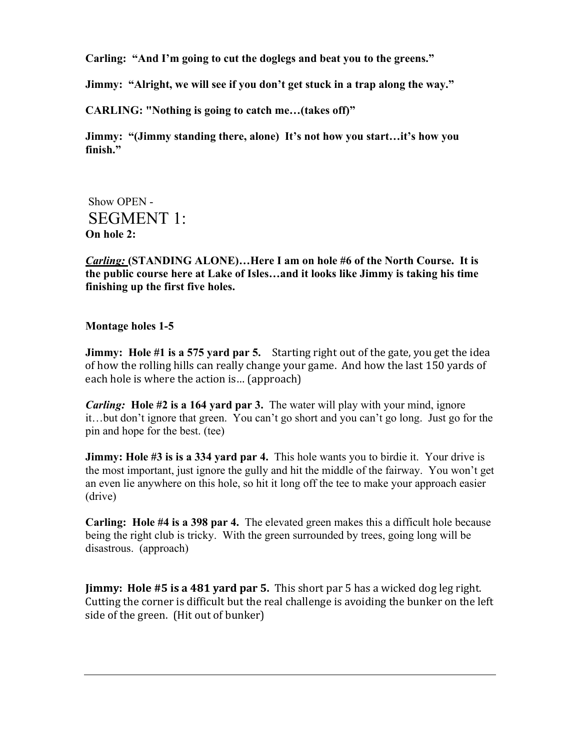**Carling: "And I'm going to cut the doglegs and beat you to the greens."**

**Jimmy: "Alright, we will see if you don't get stuck in a trap along the way."**

**CARLING: "Nothing is going to catch me…(takes off)"**

**Jimmy: "(Jimmy standing there, alone) It's not how you start…it's how you finish."**

Show OPEN - SEGMENT 1: **On hole 2:** 

*Carling:* **(STANDING ALONE)…Here I am on hole #6 of the North Course. It is the public course here at Lake of Isles…and it looks like Jimmy is taking his time finishing up the first five holes.**

### **Montage holes 1-5**

**Jimmy:** Hole #1 is a 575 yard par 5. Starting right out of the gate, you get the idea of how the rolling hills can really change your game. And how the last 150 yards of each hole is where the action is... (approach)

*Carling:* **Hole #2 is a 164 yard par 3.** The water will play with your mind, ignore it…but don't ignore that green. You can't go short and you can't go long. Just go for the pin and hope for the best. (tee)

**Jimmy: Hole #3 is is a 334 yard par 4.** This hole wants you to birdie it. Your drive is the most important, just ignore the gully and hit the middle of the fairway. You won't get an even lie anywhere on this hole, so hit it long off the tee to make your approach easier (drive)

**Carling: Hole #4 is a 398 par 4.** The elevated green makes this a difficult hole because being the right club is tricky. With the green surrounded by trees, going long will be disastrous. (approach)

**Jimmy:** Hole #5 is a 481 yard par 5. This short par 5 has a wicked dog leg right. Cutting the corner is difficult but the real challenge is avoiding the bunker on the left side of the green. (Hit out of bunker)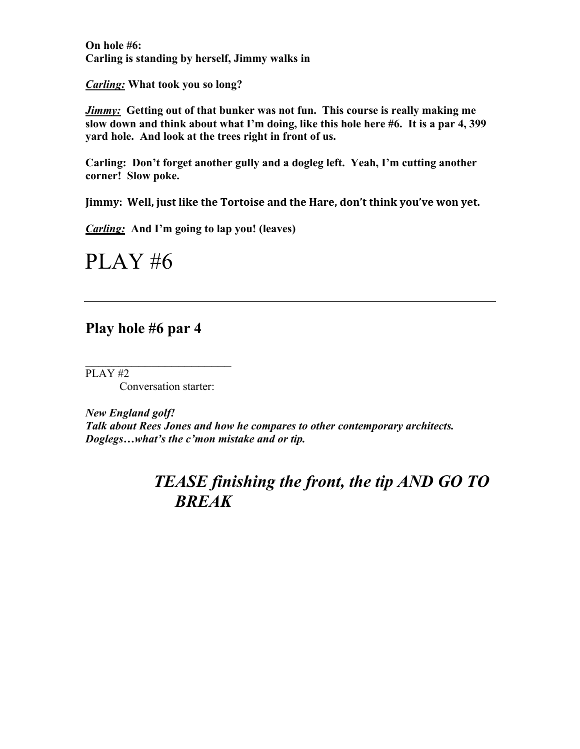**On hole #6: Carling is standing by herself, Jimmy walks in**

*Carling:* **What took you so long?**

*Jimmy:* **Getting out of that bunker was not fun. This course is really making me slow down and think about what I'm doing, like this hole here #6. It is a par 4, 399 yard hole. And look at the trees right in front of us.** 

**Carling: Don't forget another gully and a dogleg left. Yeah, I'm cutting another corner! Slow poke.**

Jimmy: Well, just like the Tortoise and the Hare, don't think you've won yet.

*Carling:* **And I'm going to lap you! (leaves)**

PLAY #6

### **Play hole #6 par 4**

PLAY #2

Conversation starter:

 $\mathcal{L}_\text{max}$ 

*New England golf! Talk about Rees Jones and how he compares to other contemporary architects. Doglegs…what's the c'mon mistake and or tip.*

## *TEASE finishing the front, the tip AND GO TO BREAK*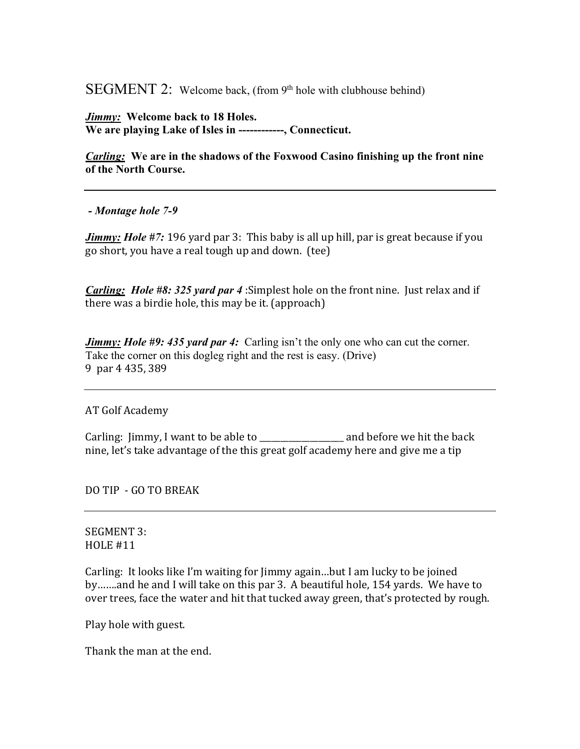SEGMENT 2: Welcome back, (from  $9<sup>th</sup>$  hole with clubhouse behind)

*Jimmy:* **Welcome back to 18 Holes. We are playing Lake of Isles in ------------, Connecticut.** 

*Carling:* **We are in the shadows of the Foxwood Casino finishing up the front nine of the North Course.**

*- Montage hole 7-9*

*Jimmy: Hole #7:* 196 yard par 3: This baby is all up hill, par is great because if you go short, you have a real tough up and down. (tee)

*Carling: Hole #8: 325 yard par 4* :Simplest hole on the front nine. Just relax and if there was a birdie hole, this may be it. (approach)

*Jimmy: Hole #9: 435 yard par 4:* Carling isn't the only one who can cut the corner. Take the corner on this dogleg right and the rest is easy. (Drive) 9 par 4 435, 389

AT Golf Academy

Carling: Jimmy, I want to be able to \_\_\_\_\_\_\_\_\_\_\_\_\_\_\_\_\_\_ and before we hit the back nine, let's take advantage of the this great golf academy here and give me a tip

DO TIP - GO TO BREAK

SEGMENT 3:  $HOLE$ #11

Carling: It looks like I'm waiting for Jimmy again...but I am lucky to be joined by.......and he and I will take on this par 3. A beautiful hole, 154 yards. We have to over trees, face the water and hit that tucked away green, that's protected by rough.

Play hole with guest.

Thank the man at the end.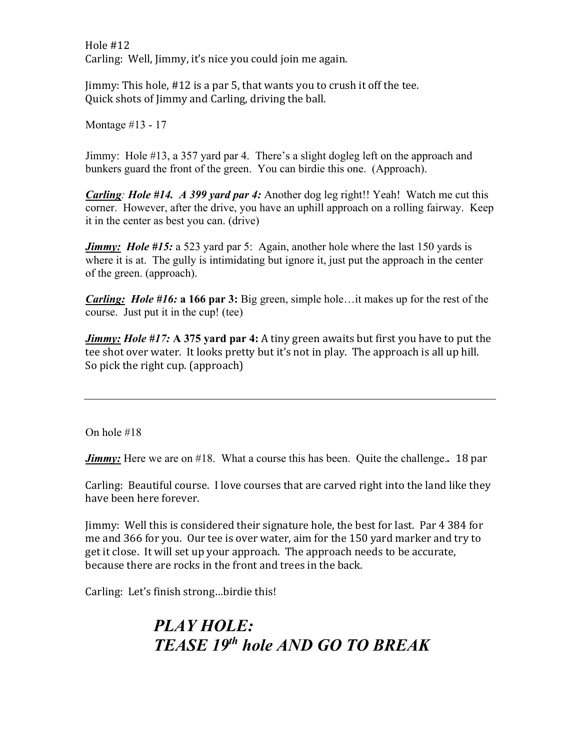Hole  $#12$ Carling: Well, Jimmy, it's nice you could join me again.

Jimmy: This hole,  $#12$  is a par 5, that wants you to crush it off the tee. Quick shots of Jimmy and Carling, driving the ball.

Montage #13 - 17

Jimmy: Hole #13, a 357 yard par 4. There's a slight dogleg left on the approach and bunkers guard the front of the green. You can birdie this one. (Approach).

*Carling: Hole #14. A 399 yard par 4:* Another dog leg right!! Yeah! Watch me cut this corner. However, after the drive, you have an uphill approach on a rolling fairway. Keep it in the center as best you can. (drive)

*Jimmy:* Hole #15: a 523 yard par 5: Again, another hole where the last 150 yards is where it is at. The gully is intimidating but ignore it, just put the approach in the center of the green. (approach).

*Carling:**Hole #16:* **a 166 par 3:** Big green, simple hole…it makes up for the rest of the course. Just put it in the cup! (tee)

*Jimmy: Hole #17:* A 375 yard par 4: A tiny green awaits but first you have to put the tee shot over water. It looks pretty but it's not in play. The approach is all up hill. So pick the right cup. (approach)

On hole #18

*Jimmy:* Here we are on #18. What a course this has been. Quite the challenge.. 18 par

Carling: Beautiful course. I love courses that are carved right into the land like they have been here forever.

Jimmy: Well this is considered their signature hole, the best for last. Par 4 384 for me and 366 for you. Our tee is over water, aim for the 150 yard marker and try to get it close. It will set up your approach. The approach needs to be accurate, because there are rocks in the front and trees in the back.

Carling: Let's finish strong...birdie this!

# *PLAY HOLE: TEASE 19th hole AND GO TO BREAK*